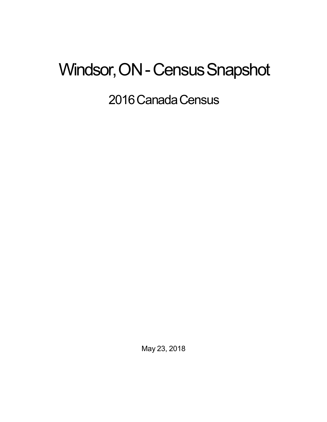## Windsor, ON - Census Snapshot

2016 Canada Census

May 23, 2018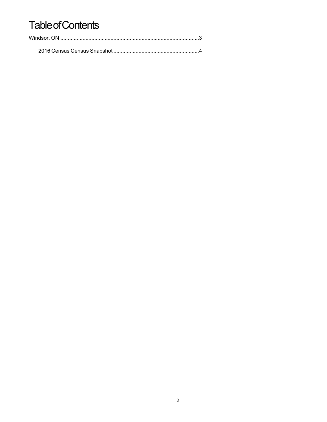## **Table of Contents**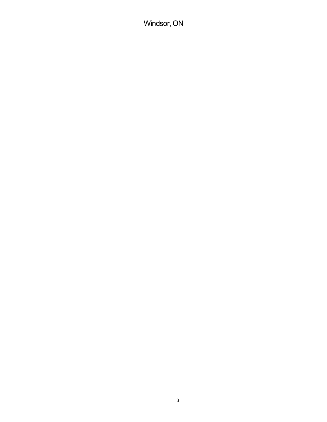Windsor, ON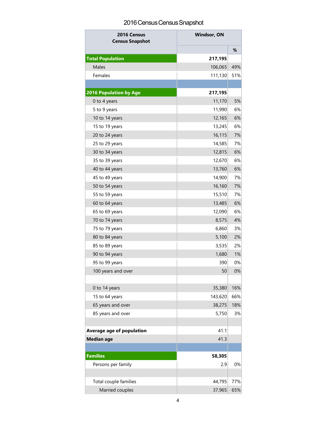## 2016 Census Census Snapshot

| 2016 Census<br><b>Census Snapshot</b> | <b>Windsor, ON</b> |     |
|---------------------------------------|--------------------|-----|
|                                       |                    | %   |
| <b>Total Population</b>               | 217,195            |     |
| Males                                 | 106,065            | 49% |
| Females                               | 111,130            | 51% |
|                                       |                    |     |
| <b>2016 Population by Age</b>         | 217,195            |     |
| 0 to 4 years                          | 11,170             | 5%  |
| 5 to 9 years                          | 11,990             | 6%  |
| 10 to 14 years                        | 12,165             | 6%  |
| 15 to 19 years                        | 13,245             | 6%  |
| 20 to 24 years                        | 16,115             | 7%  |
| 25 to 29 years                        | 14,585             | 7%  |
| 30 to 34 years                        | 12,815             | 6%  |
| 35 to 39 years                        | 12,670             | 6%  |
| 40 to 44 years                        | 13,760             | 6%  |
| 45 to 49 years                        | 14,900             | 7%  |
| 50 to 54 years                        | 16,160             | 7%  |
| 55 to 59 years                        | 15,510             | 7%  |
| 60 to 64 years                        | 13,485             | 6%  |
| 65 to 69 years                        | 12,090             | 6%  |
| 70 to 74 years                        | 8,575              | 4%  |
| 75 to 79 years                        | 6,860              | 3%  |
| 80 to 84 years                        | 5,100              | 2%  |
| 85 to 89 years                        | 3,535              | 2%  |
| 90 to 94 years                        | 1,680              | 1%  |
| 95 to 99 years                        | 390                | 0%  |
| 100 years and over                    | 50                 | 0%  |
|                                       |                    |     |
| 0 to 14 years                         | 35,380             | 16% |
| 15 to 64 years                        | 143,620            | 66% |
| 65 years and over                     | 38,275             | 18% |
| 85 years and over                     | 5,750              | 3%  |
|                                       |                    |     |
| Average age of population             | 41.1               |     |
| <b>Median age</b>                     | 41.3               |     |
|                                       |                    |     |
| <b>Families</b>                       | 58,305             |     |
| Persons per family                    | 2.9                | 0%  |
|                                       |                    |     |
| Total couple families                 | 44,795             | 77% |
| Married couples                       | 37,965             | 65% |